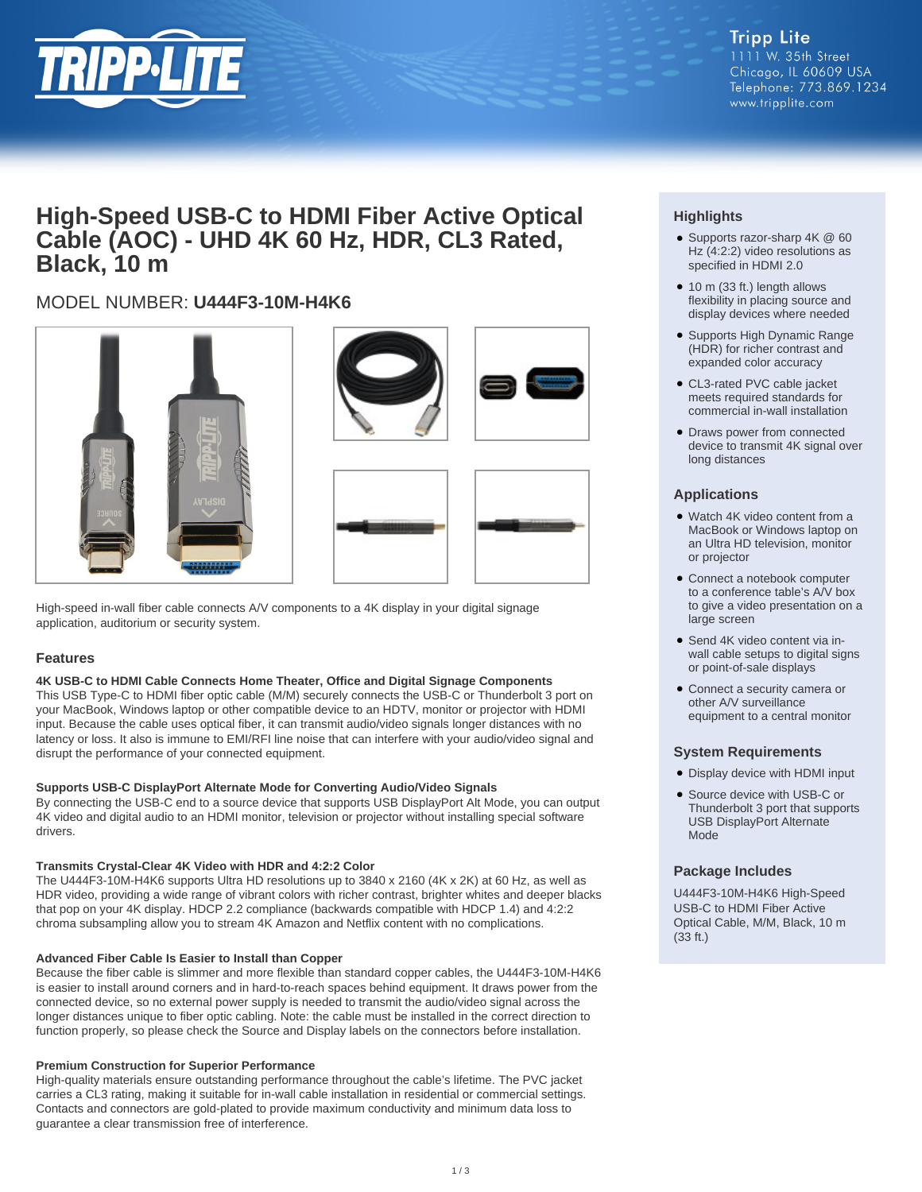

## **High-Speed USB-C to HDMI Fiber Active Optical Cable (AOC) - UHD 4K 60 Hz, HDR, CL3 Rated, Black, 10 m**

## MODEL NUMBER: **U444F3-10M-H4K6**







High-speed in-wall fiber cable connects A/V components to a 4K display in your digital signage application, auditorium or security system.

## **Features**

## **4K USB-C to HDMI Cable Connects Home Theater, Office and Digital Signage Components**

This USB Type-C to HDMI fiber optic cable (M/M) securely connects the USB-C or Thunderbolt 3 port on your MacBook, Windows laptop or other compatible device to an HDTV, monitor or projector with HDMI input. Because the cable uses optical fiber, it can transmit audio/video signals longer distances with no latency or loss. It also is immune to EMI/RFI line noise that can interfere with your audio/video signal and disrupt the performance of your connected equipment.

## **Supports USB-C DisplayPort Alternate Mode for Converting Audio/Video Signals**

By connecting the USB-C end to a source device that supports USB DisplayPort Alt Mode, you can output 4K video and digital audio to an HDMI monitor, television or projector without installing special software drivers.

## **Transmits Crystal-Clear 4K Video with HDR and 4:2:2 Color**

The U444F3-10M-H4K6 supports Ultra HD resolutions up to 3840 x 2160 (4K x 2K) at 60 Hz, as well as HDR video, providing a wide range of vibrant colors with richer contrast, brighter whites and deeper blacks that pop on your 4K display. HDCP 2.2 compliance (backwards compatible with HDCP 1.4) and 4:2:2 chroma subsampling allow you to stream 4K Amazon and Netflix content with no complications.

## **Advanced Fiber Cable Is Easier to Install than Copper**

Because the fiber cable is slimmer and more flexible than standard copper cables, the U444F3-10M-H4K6 is easier to install around corners and in hard-to-reach spaces behind equipment. It draws power from the connected device, so no external power supply is needed to transmit the audio/video signal across the longer distances unique to fiber optic cabling. Note: the cable must be installed in the correct direction to function properly, so please check the Source and Display labels on the connectors before installation.

## **Premium Construction for Superior Performance**

High-quality materials ensure outstanding performance throughout the cable's lifetime. The PVC jacket carries a CL3 rating, making it suitable for in-wall cable installation in residential or commercial settings. Contacts and connectors are gold-plated to provide maximum conductivity and minimum data loss to guarantee a clear transmission free of interference.

## **Highlights**

- Supports razor-sharp 4K @ 60 Hz (4:2:2) video resolutions as specified in HDMI 2.0
- 10 m (33 ft.) length allows flexibility in placing source and display devices where needed
- Supports High Dynamic Range (HDR) for richer contrast and expanded color accuracy
- CL3-rated PVC cable jacket meets required standards for commercial in-wall installation
- Draws power from connected device to transmit 4K signal over long distances

## **Applications**

- Watch 4K video content from a MacBook or Windows laptop on an Ultra HD television, monitor or projector
- Connect a notebook computer to a conference table's A/V box to give a video presentation on a large screen
- Send 4K video content via inwall cable setups to digital signs or point-of-sale displays
- Connect a security camera or other A/V surveillance equipment to a central monitor

## **System Requirements**

- Display device with HDMI input
- Source device with USB-C or Thunderbolt 3 port that supports USB DisplayPort Alternate Mode

## **Package Includes**

U444F3-10M-H4K6 High-Speed USB-C to HDMI Fiber Active Optical Cable, M/M, Black, 10 m (33 ft.)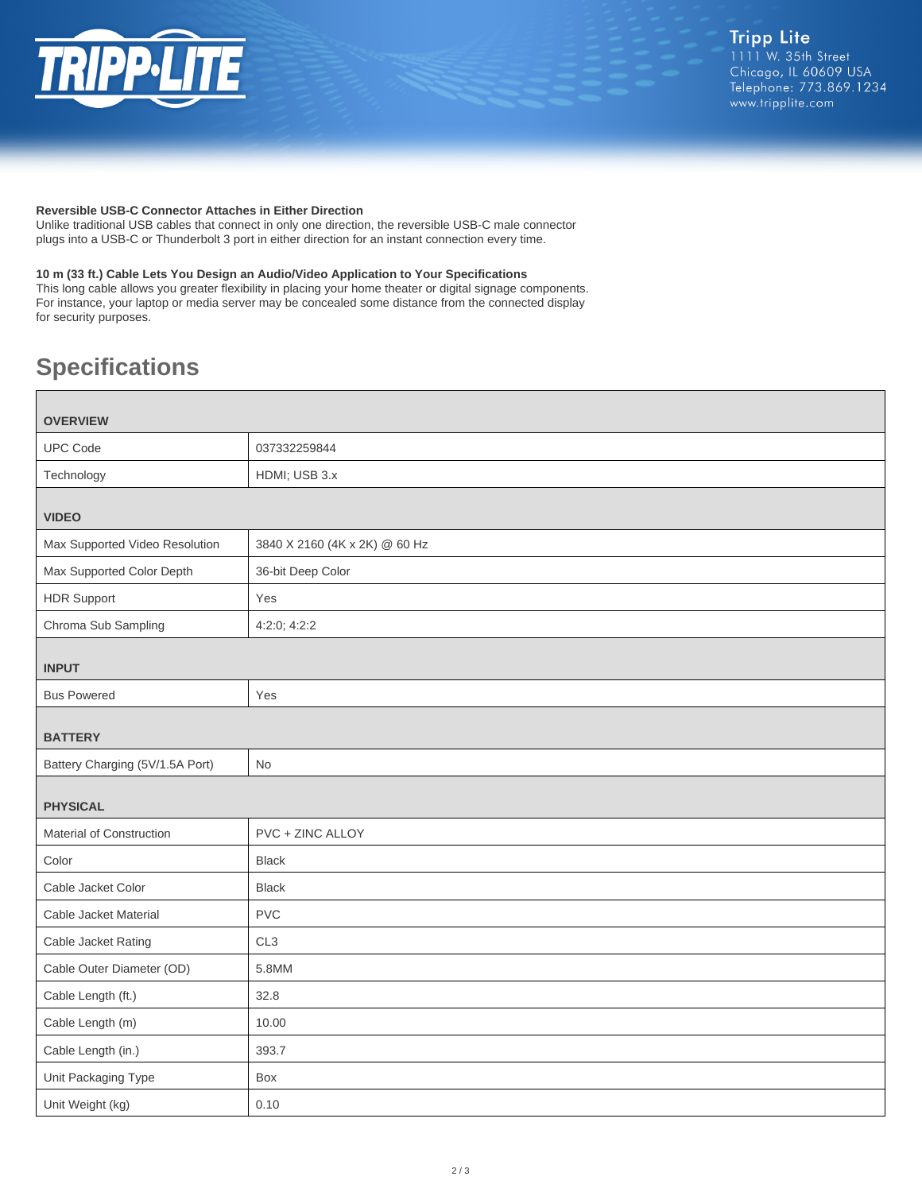

#### **Reversible USB-C Connector Attaches in Either Direction**

Unlike traditional USB cables that connect in only one direction, the reversible USB-C male connector plugs into a USB-C or Thunderbolt 3 port in either direction for an instant connection every time.

## **10 m (33 ft.) Cable Lets You Design an Audio/Video Application to Your Specifications**

This long cable allows you greater flexibility in placing your home theater or digital signage components. For instance, your laptop or media server may be concealed some distance from the connected display for security purposes.

# **Specifications**

| <b>OVERVIEW</b>                 |                               |
|---------------------------------|-------------------------------|
| <b>UPC Code</b>                 | 037332259844                  |
| Technology                      | HDMI; USB 3.x                 |
| <b>VIDEO</b>                    |                               |
| Max Supported Video Resolution  | 3840 X 2160 (4K x 2K) @ 60 Hz |
| Max Supported Color Depth       | 36-bit Deep Color             |
| <b>HDR Support</b>              | Yes                           |
| Chroma Sub Sampling             | 4:2:0; 4:2:2                  |
| <b>INPUT</b>                    |                               |
| <b>Bus Powered</b>              | Yes                           |
| <b>BATTERY</b>                  |                               |
| Battery Charging (5V/1.5A Port) | No                            |
| <b>PHYSICAL</b>                 |                               |
| Material of Construction        | PVC + ZINC ALLOY              |
| Color                           | <b>Black</b>                  |
| Cable Jacket Color              | <b>Black</b>                  |
| Cable Jacket Material           | <b>PVC</b>                    |
| Cable Jacket Rating             | CL <sub>3</sub>               |
| Cable Outer Diameter (OD)       | 5.8MM                         |
| Cable Length (ft.)              | 32.8                          |
| Cable Length (m)                | 10.00                         |
| Cable Length (in.)              | 393.7                         |
| Unit Packaging Type             | Box                           |
| Unit Weight (kg)                | 0.10                          |